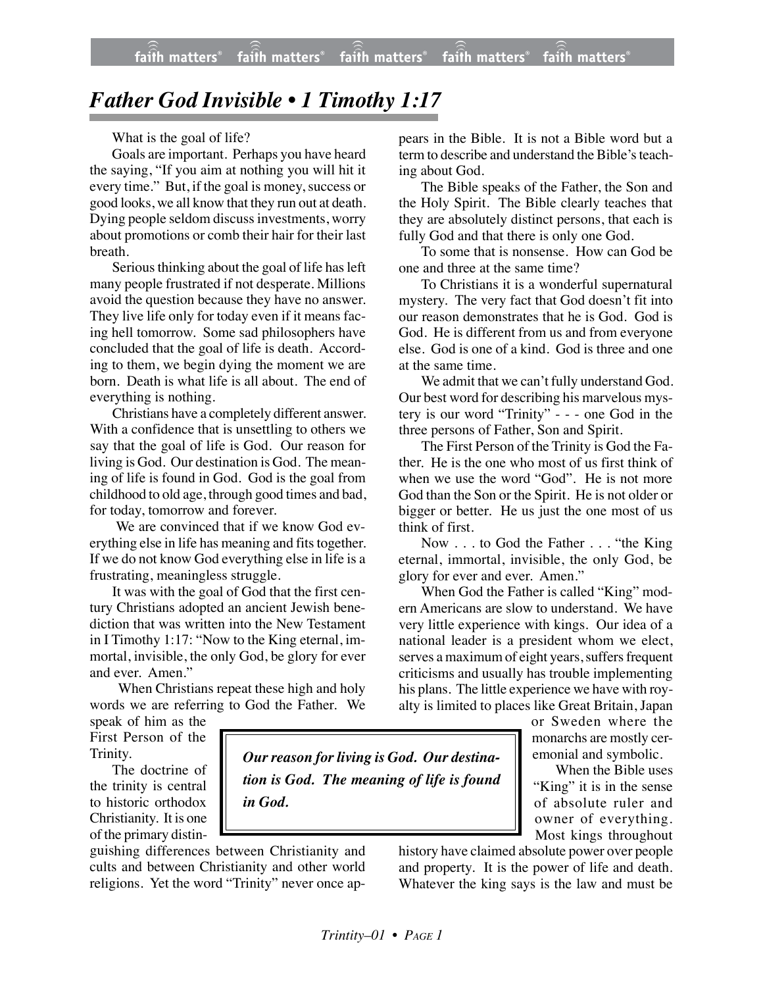## *Father God Invisible • 1 Timothy 1:17*

## What is the goal of life?

Goals are important. Perhaps you have heard the saying, "If you aim at nothing you will hit it every time." But, if the goal is money, success or good looks, we all know that they run out at death. Dying people seldom discuss investments, worry about promotions or comb their hair for their last breath.

Serious thinking about the goal of life has left many people frustrated if not desperate. Millions avoid the question because they have no answer. They live life only for today even if it means facing hell tomorrow. Some sad philosophers have concluded that the goal of life is death. According to them, we begin dying the moment we are born. Death is what life is all about. The end of everything is nothing.

Christians have a completely different answer. With a confidence that is unsettling to others we say that the goal of life is God. Our reason for living is God. Our destination is God. The meaning of life is found in God. God is the goal from childhood to old age, through good times and bad, for today, tomorrow and forever.

 We are convinced that if we know God everything else in life has meaning and fits together. If we do not know God everything else in life is a frustrating, meaningless struggle.

It was with the goal of God that the first century Christians adopted an ancient Jewish benediction that was written into the New Testament in I Timothy 1:17: "Now to the King eternal, immortal, invisible, the only God, be glory for ever and ever. Amen."

 When Christians repeat these high and holy words we are referring to God the Father. We pears in the Bible. It is not a Bible word but a term to describe and understand the Bible's teaching about God.

The Bible speaks of the Father, the Son and the Holy Spirit. The Bible clearly teaches that they are absolutely distinct persons, that each is fully God and that there is only one God.

To some that is nonsense. How can God be one and three at the same time?

To Christians it is a wonderful supernatural mystery. The very fact that God doesn't fit into our reason demonstrates that he is God. God is God. He is different from us and from everyone else. God is one of a kind. God is three and one at the same time.

We admit that we can't fully understand God. Our best word for describing his marvelous mystery is our word "Trinity" - - - one God in the three persons of Father, Son and Spirit.

The First Person of the Trinity is God the Father. He is the one who most of us first think of when we use the word "God". He is not more God than the Son or the Spirit. He is not older or bigger or better. He us just the one most of us think of first.

Now . . . to God the Father . . . "the King eternal, immortal, invisible, the only God, be glory for ever and ever. Amen."

When God the Father is called "King" modern Americans are slow to understand. We have very little experience with kings. Our idea of a national leader is a president whom we elect, serves a maximum of eight years, suffers frequent criticisms and usually has trouble implementing his plans. The little experience we have with royalty is limited to places like Great Britain, Japan

speak of him as the First Person of the Trinity.

The doctrine of the trinity is central to historic orthodox Christianity. It is one of the primary distin-

guishing differences between Christianity and cults and between Christianity and other world religions. Yet the word "Trinity" never once ap-

*Our reason for living is God. Our destination is God. The meaning of life is found in God.*

or Sweden where the monarchs are mostly ceremonial and symbolic.

When the Bible uses "King" it is in the sense of absolute ruler and owner of everything. Most kings throughout

history have claimed absolute power over people and property. It is the power of life and death. Whatever the king says is the law and must be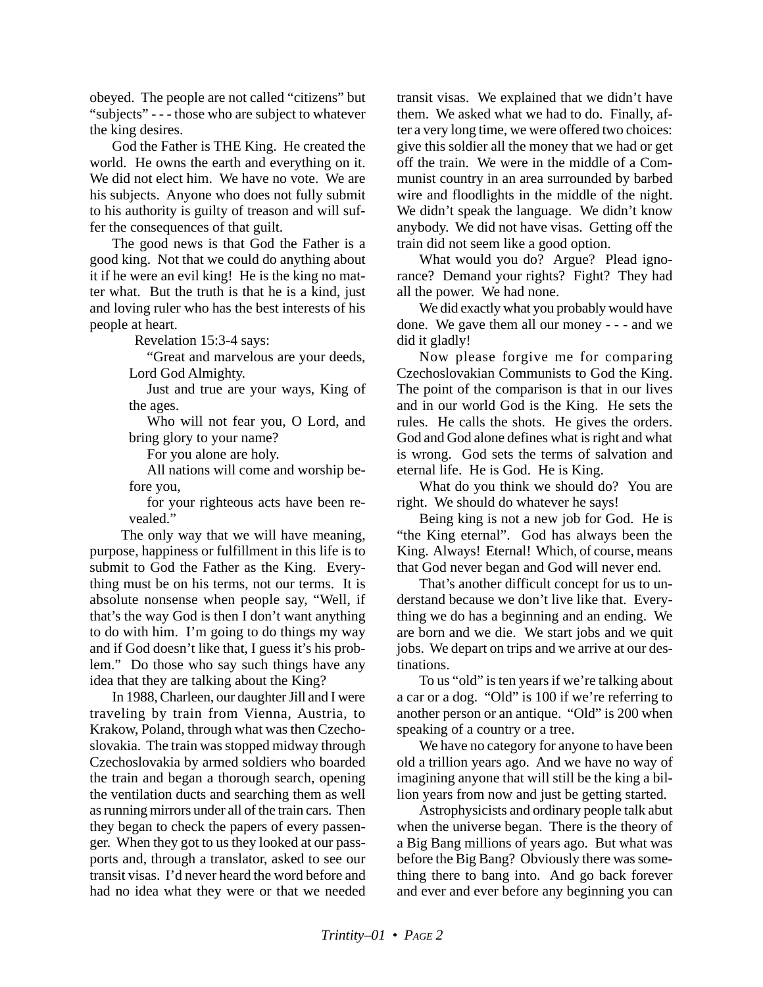obeyed. The people are not called "citizens" but "subjects" - - - those who are subject to whatever the king desires.

God the Father is THE King. He created the world. He owns the earth and everything on it. We did not elect him. We have no vote. We are his subjects. Anyone who does not fully submit to his authority is guilty of treason and will suffer the consequences of that guilt.

The good news is that God the Father is a good king. Not that we could do anything about it if he were an evil king! He is the king no matter what. But the truth is that he is a kind, just and loving ruler who has the best interests of his people at heart.

Revelation 15:3-4 says:

"Great and marvelous are your deeds, Lord God Almighty.

Just and true are your ways, King of the ages.

Who will not fear you, O Lord, and bring glory to your name?

For you alone are holy.

All nations will come and worship before you,

for your righteous acts have been revealed."

 The only way that we will have meaning, purpose, happiness or fulfillment in this life is to submit to God the Father as the King. Everything must be on his terms, not our terms. It is absolute nonsense when people say, "Well, if that's the way God is then I don't want anything to do with him. I'm going to do things my way and if God doesn't like that, I guess it's his problem." Do those who say such things have any idea that they are talking about the King?

In 1988, Charleen, our daughter Jill and I were traveling by train from Vienna, Austria, to Krakow, Poland, through what was then Czechoslovakia. The train was stopped midway through Czechoslovakia by armed soldiers who boarded the train and began a thorough search, opening the ventilation ducts and searching them as well as running mirrors under all of the train cars. Then they began to check the papers of every passenger. When they got to us they looked at our passports and, through a translator, asked to see our transit visas. I'd never heard the word before and had no idea what they were or that we needed

transit visas. We explained that we didn't have them. We asked what we had to do. Finally, after a very long time, we were offered two choices: give this soldier all the money that we had or get off the train. We were in the middle of a Communist country in an area surrounded by barbed wire and floodlights in the middle of the night. We didn't speak the language. We didn't know anybody. We did not have visas. Getting off the train did not seem like a good option.

What would you do? Argue? Plead ignorance? Demand your rights? Fight? They had all the power. We had none.

We did exactly what you probably would have done. We gave them all our money - - - and we did it gladly!

Now please forgive me for comparing Czechoslovakian Communists to God the King. The point of the comparison is that in our lives and in our world God is the King. He sets the rules. He calls the shots. He gives the orders. God and God alone defines what is right and what is wrong. God sets the terms of salvation and eternal life. He is God. He is King.

What do you think we should do? You are right. We should do whatever he says!

Being king is not a new job for God. He is "the King eternal". God has always been the King. Always! Eternal! Which, of course, means that God never began and God will never end.

That's another difficult concept for us to understand because we don't live like that. Everything we do has a beginning and an ending. We are born and we die. We start jobs and we quit jobs. We depart on trips and we arrive at our destinations.

To us "old" is ten years if we're talking about a car or a dog. "Old" is 100 if we're referring to another person or an antique. "Old" is 200 when speaking of a country or a tree.

We have no category for anyone to have been old a trillion years ago. And we have no way of imagining anyone that will still be the king a billion years from now and just be getting started.

Astrophysicists and ordinary people talk abut when the universe began. There is the theory of a Big Bang millions of years ago. But what was before the Big Bang? Obviously there was something there to bang into. And go back forever and ever and ever before any beginning you can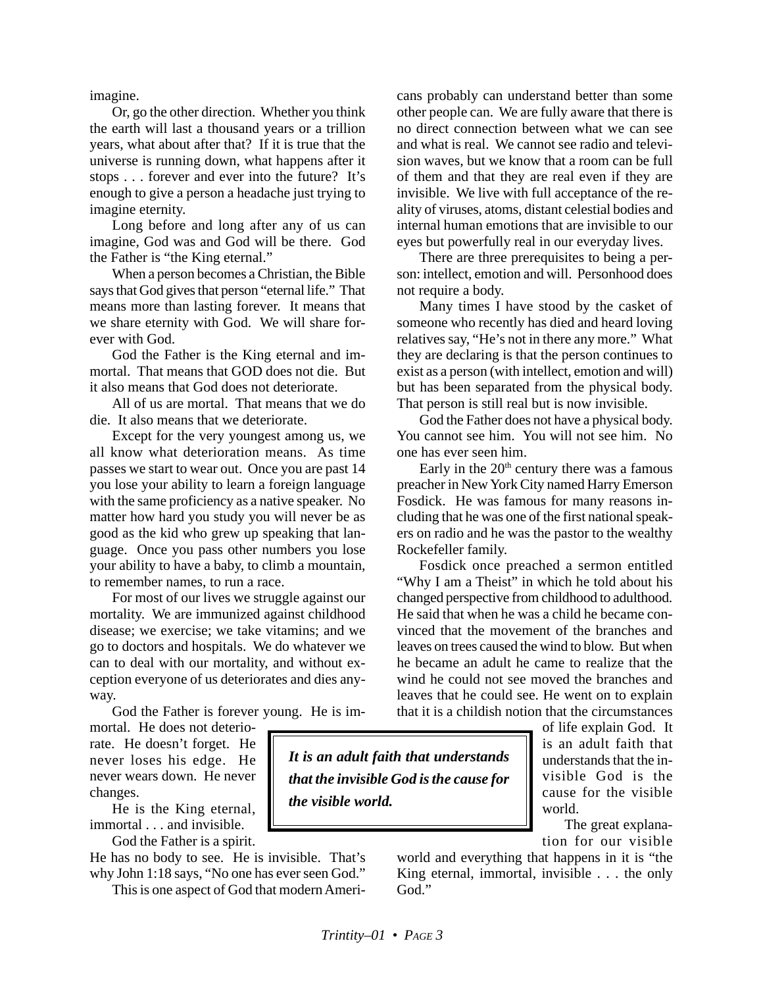imagine.

Or, go the other direction. Whether you think the earth will last a thousand years or a trillion years, what about after that? If it is true that the universe is running down, what happens after it stops . . . forever and ever into the future? It's enough to give a person a headache just trying to imagine eternity.

Long before and long after any of us can imagine, God was and God will be there. God the Father is "the King eternal."

When a person becomes a Christian, the Bible says that God gives that person "eternal life." That means more than lasting forever. It means that we share eternity with God. We will share forever with God.

God the Father is the King eternal and immortal. That means that GOD does not die. But it also means that God does not deteriorate.

All of us are mortal. That means that we do die. It also means that we deteriorate.

Except for the very youngest among us, we all know what deterioration means. As time passes we start to wear out. Once you are past 14 you lose your ability to learn a foreign language with the same proficiency as a native speaker. No matter how hard you study you will never be as good as the kid who grew up speaking that language. Once you pass other numbers you lose your ability to have a baby, to climb a mountain, to remember names, to run a race.

For most of our lives we struggle against our mortality. We are immunized against childhood disease; we exercise; we take vitamins; and we go to doctors and hospitals. We do whatever we can to deal with our mortality, and without exception everyone of us deteriorates and dies anyway.

God the Father is forever young. He is im-

mortal. He does not deteriorate. He doesn't forget. He never loses his edge. He never wears down. He never changes.

He is the King eternal, immortal . . . and invisible.

God the Father is a spirit.

He has no body to see. He is invisible. That's why John 1:18 says, "No one has ever seen God."

This is one aspect of God that modern Ameri-

cans probably can understand better than some other people can. We are fully aware that there is no direct connection between what we can see and what is real. We cannot see radio and television waves, but we know that a room can be full of them and that they are real even if they are invisible. We live with full acceptance of the reality of viruses, atoms, distant celestial bodies and internal human emotions that are invisible to our eyes but powerfully real in our everyday lives.

There are three prerequisites to being a person: intellect, emotion and will. Personhood does not require a body.

Many times I have stood by the casket of someone who recently has died and heard loving relatives say, "He's not in there any more." What they are declaring is that the person continues to exist as a person (with intellect, emotion and will) but has been separated from the physical body. That person is still real but is now invisible.

God the Father does not have a physical body. You cannot see him. You will not see him. No one has ever seen him.

Early in the  $20<sup>th</sup>$  century there was a famous preacher in New York City named Harry Emerson Fosdick. He was famous for many reasons including that he was one of the first national speakers on radio and he was the pastor to the wealthy Rockefeller family.

Fosdick once preached a sermon entitled "Why I am a Theist" in which he told about his changed perspective from childhood to adulthood. He said that when he was a child he became convinced that the movement of the branches and leaves on trees caused the wind to blow. But when he became an adult he came to realize that the wind he could not see moved the branches and leaves that he could see. He went on to explain that it is a childish notion that the circumstances

*It is an adult faith that understands that the invisible God is the cause for the visible world.*

of life explain God. It is an adult faith that understands that the invisible God is the cause for the visible world.

The great explanation for our visible

world and everything that happens in it is "the King eternal, immortal, invisible . . . the only God."